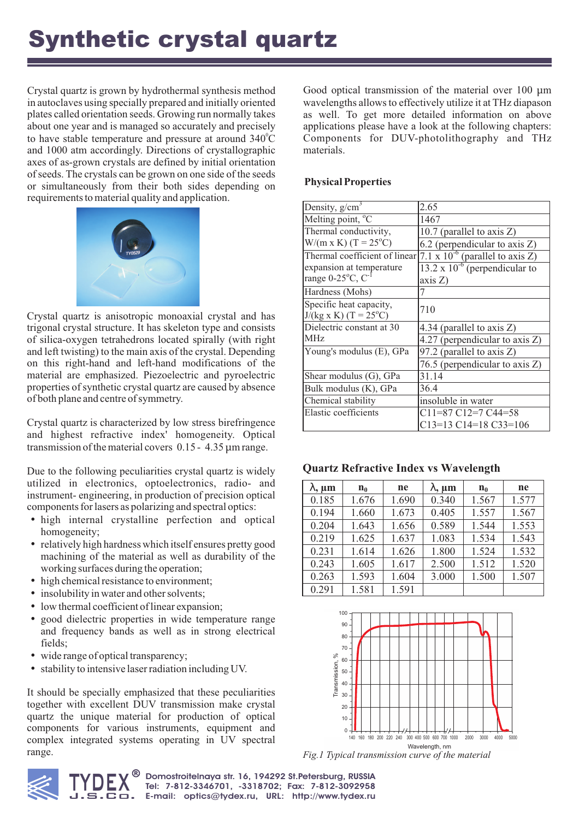# Synthetic crystal quartz

Crystal quartz is grown by hydrothermal synthesis method in autoclaves using specially prepared and initially oriented plates called orientation seeds. Growing run normally takes about one year and is managed so accurately and precisely to have stable temperature and pressure at around  $340^{\circ}$ C and 1000 atm accordingly. Directions of crystallographic axes of as-grown crystals are defined by initial orientation of seeds. The crystals can be grown on one side of the seeds or simultaneously from their both sides depending on requirements to material quality and application.



Crystal quartz is anisotropic monoaxial crystal and has trigonal crystal structure. It has skeleton type and consists of silica-oxygen tetrahedrons located spirally (with right and left twisting) to the main axis of the crystal. Depending on this right-hand and left-hand modifications of the material are emphasized. Piezoelectric and pyroelectric properties of synthetic crystal quartz are caused by absence of both plane and centre of symmetry.

Crystal quartz is characterized by low stress birefringence and highest refractive index' homogeneity. Optical transmission of the material covers 0.15 - 4.35 μm range.

Due to the following peculiarities crystal quartz is widely utilized in electronics, optoelectronics, radio- and instrument- engineering, in production of precision optical components for lasers as polarizing and spectral optics:

- high internal crystalline perfection and optical homogeneity;
- relatively high hardness which itself ensures pretty good machining of the material as well as durability of the working surfaces during the operation;
- high chemical resistance to environment;
- insolubility in water and other solvents;
- low thermal coefficient of linear expansion;
- good dielectric properties in wide temperature range and frequency bands as well as in strong electrical fields;
- wide range of optical transparency;
- stability to intensive laser radiation including UV.

It should be specially emphasized that these peculiarities together with excellent DUV transmission make crystal quartz the unique material for production of optical components for various instruments, equipment and complex integrated systems operating in UV spectral range.

Good optical transmission of the material over 100 μm wavelengths allows to effectively utilize it at THz diapason as well. To get more detailed information on above applications please have a look at the following chapters: Components for DUV-photolithography and THz materials.

## **Physical Properties**

| Density, $g/cm3$                         | 2.65                                                 |  |  |
|------------------------------------------|------------------------------------------------------|--|--|
| Melting point, $\overline{C}$            | 1467                                                 |  |  |
| Thermal conductivity,                    | 10.7 (parallel to axis $Z$ )                         |  |  |
| $W/(m \times K)$ (T = 25 <sup>o</sup> C) | 6.2 (perpendicular to axis Z)                        |  |  |
| Thermal coefficient of linear            | $\overline{7.1 \times 10^{-6}}$ (parallel to axis Z) |  |  |
| expansion at temperature                 | $13.2 \times 10^{-6}$ (perpendicular to              |  |  |
| range $0-25^{\circ}$ C, C <sup>-1</sup>  | axis Z)                                              |  |  |
| Hardness (Mohs)                          |                                                      |  |  |
| Specific heat capacity,                  | 710                                                  |  |  |
| $J/(kg \times K)$ (T = 25°C)             |                                                      |  |  |
| Dielectric constant at 30                | 4.34 (parallel to axis Z)                            |  |  |
| <b>MHz</b>                               | 4.27 (perpendicular to axis $Z$ )                    |  |  |
| Young's modulus (E), GPa                 | 97.2 (parallel to axis Z)                            |  |  |
|                                          | 76.5 (perpendicular to axis $Z$ )                    |  |  |
| Shear modulus (G), GPa                   | 31.14                                                |  |  |
| Bulk modulus (K), GPa                    | 36.4                                                 |  |  |
| Chemical stability                       | insoluble in water                                   |  |  |
| Elastic coefficients                     | $C11=87 C12=7 C44=58$                                |  |  |
|                                          | $C13=13 C14=18 C33=106$                              |  |  |

## **Quartz Refractive Index vs Wavelength**

| $\lambda$ , $\mu$ m | $n_0$ | ne    | $\lambda$ , $\mu$ m | n <sub>0</sub> | ne    |
|---------------------|-------|-------|---------------------|----------------|-------|
| 0.185               | 1.676 | 1.690 | 0.340               | 1.567          | 1.577 |
| 0.194               | 1.660 | 1.673 | 0.405               | 1.557          | 1.567 |
| 0.204               | 1.643 | 1.656 | 0.589               | 1.544          | 1.553 |
| 0.219               | 1.625 | 1.637 | 1.083               | 1.534          | 1.543 |
| 0.231               | 1.614 | 1.626 | 1.800               | 1.524          | 1.532 |
| 0.243               | 1.605 | 1.617 | 2.500               | 1.512          | 1.520 |
| 0.263               | 1.593 | 1.604 | 3.000               | 1.500          | 1.507 |
| 0.291               | 1.581 | 1.591 |                     |                |       |



*Fig.1 Typical transmission curve of the material*

**J. DLA** Tel: 7-812-3346701, -3318702; Fax: 7-812-3092958<br>**J. S. C □.** E-mail: optics@tydex.ru, URL: http://www.tydex.ru TYDEX **Domostroitelnaya str. 16, 194292 St.Petersburg, RUSSIA Tel: 7-812-3346701, -3318702; Fax: 7-812-3092958**